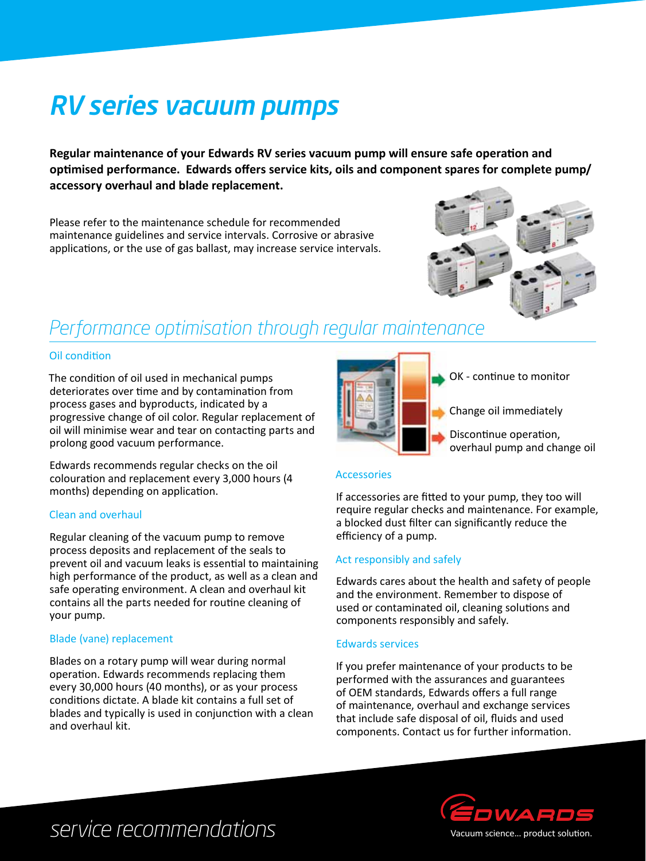# RV series vacuum pumps

**Regular maintenance of your Edwards RV series vacuum pump will ensure safe operation and optimised performance. Edwards offers service kits, oils and component spares for complete pump/ accessory overhaul and blade replacement.** 

Please refer to the maintenance schedule for recommended maintenance guidelines and service intervals. Corrosive or abrasive applications, or the use of gas ballast, may increase service intervals.



### *Performance optimisation through regular maintenance*

#### Oil condition

The condition of oil used in mechanical pumps deteriorates over time and by contamination from process gases and byproducts, indicated by a progressive change of oil color. Regular replacement of oil will minimise wear and tear on contacting parts and prolong good vacuum performance.

Edwards recommends regular checks on the oil colouration and replacement every 3,000 hours (4 months) depending on application.

#### Clean and overhaul

Regular cleaning of the vacuum pump to remove process deposits and replacement of the seals to prevent oil and vacuum leaks is essential to maintaining high performance of the product, as well as a clean and safe operating environment. A clean and overhaul kit contains all the parts needed for routine cleaning of your pump.

#### Blade (vane) replacement

Blades on a rotary pump will wear during normal operation. Edwards recommends replacing them every 30,000 hours (40 months), or as your process conditions dictate. A blade kit contains a full set of blades and typically is used in conjunction with a clean and overhaul kit.



OK - continue to monitor

Change oil immediately

Discontinue operation, overhaul pump and change oil

#### Accessories

If accessories are fitted to your pump, they too will require regular checks and maintenance. For example, a blocked dust filter can significantly reduce the efficiency of a pump.

#### Act responsibly and safely

Edwards cares about the health and safety of people and the environment. Remember to dispose of used or contaminated oil, cleaning solutions and components responsibly and safely.

#### Edwards services

If you prefer maintenance of your products to be performed with the assurances and guarantees of OEM standards, Edwards offers a full range of maintenance, overhaul and exchange services that include safe disposal of oil, fluids and used components. Contact us for further information.



## *service recommendations*